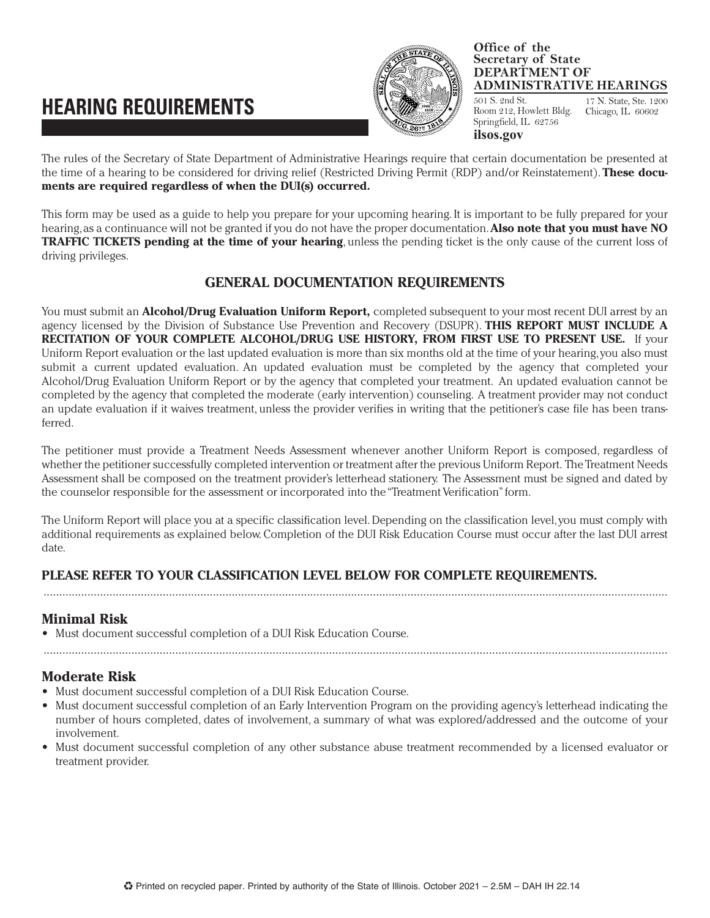# **HEARING REQUIREMENTS**



#### **Office of the Secretary of State DEPARTMENT OF ADMINISTRATIVE HEARINGS**

501 S. 2nd St. Room 212, Howlett Bldg. Springfield, IL 62756 17 N. State, Ste. 1200 Chicago, IL 60602

The rules of the Secretary of State Department of Administrative Hearings require that certain documentation be presented at the time of a hearing to be considered for driving relief (Restricted Driving Permit (RDP) and/or Reinstatement). **These documents are required regardless of when the DUI(s) occurred. ilsos.gov**

This form may be used as a guide to help you prepare for your upcoming hearing. It is important to be fully prepared for your hearing, as a continuance will not be granted if you do not have the proper documentation. **Also note that you must have NO TRAFFIC TICKETS pending at the time of your hearing**, unless the pending ticket is the only cause of the current loss of driving privileges.

#### **GENERAL DOCUMENTATION REQUIREMENTS**

You must submit an **Alcohol/Drug Evaluation Uniform Report,** completed subsequent to your most recent DUI arrest by an agency licensed by the Division of Substance Use Prevention and Recovery (DSUPR). **THIS REPORT MUST INCLUDE A RECITATION OF YOUR COMPLETE ALCOHOL/DRUG USE HISTORY, FROM FIRST USE TO PRESENT USE.** If your Uniform Report evaluation or the last updated evaluation is more than six months old at the time of your hearing, you also must submit a current updated evaluation. An updated evaluation must be completed by the agency that completed your Alcohol/Drug Evaluation Uniform Report or by the agency that completed your treatment. An updated evaluation cannot be completed by the agency that completed the moderate (early intervention) counseling. A treatment provider may not conduct an update evaluation if it waives treatment, unless the provider verifies in writing that the petitioner's case file has been transferred.

The petitioner must provide a Treatment Needs Assessment whenever another Uniform Report is composed, regardless of whether the petitioner successfully completed intervention or treatment after the previous Uniform Report. The Treatment Needs Assessment shall be composed on the treatment provider's letterhead stationery. The Assessment must be signed and dated by the counselor responsible for the assessment or incorporated into the "Treatment Verification" form.

The Uniform Report will place you at a specific classification level. Depending on the classification level, you must comply with additional requirements as explained below. Completion of the DUI Risk Education Course must occur after the last DUI arrest date.

#### **PLEASE REFER TO YOUR CLASSIFICATION LEVEL BELOW FOR COMPLETE REQUIREMENTS.**

.......................................................................................................................................................................................................

## **Minimal Risk**

**•** Must document successful completion of a DUI Risk Education Course.

## **Moderate Risk**

- **•** Must document successful completion of a DUI Risk Education Course.
- **•** Must document successful completion of an Early Intervention Program on the providing agency's letterhead indicating the number of hours completed, dates of involvement, a summary of what was explored/addressed and the outcome of your involvement.

.......................................................................................................................................................................................................

**•** Must document successful completion of any other substance abuse treatment recommended by a licensed evaluator or treatment provider.